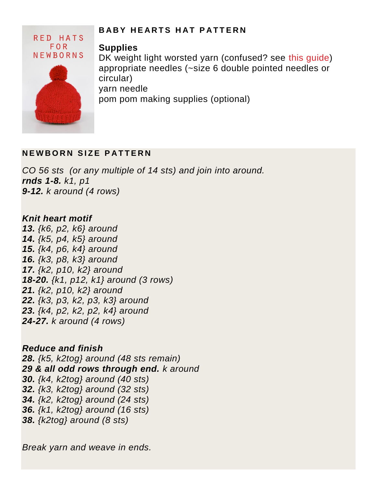# RED HATS **FOR** NEWBORNS

### **B A B Y H E A R T S H A T P A T T ERN**

## **Supplies**

DK weight light worsted yarn (confused? see this quide) appropriate needles (~size 6 double pointed needles or circular)

yarn needle

pom pom making supplies (optional)

# **NEWBORN SIZE PATTERN**

*CO 56 sts (or any multiple of 14 sts) and join into around. rnds 1-8. k1, p1 9-12. k around (4 rows)*

## *Knit heart motif*

*13. {k6, p2, k6} around 14. {k5, p4, k5} around 15. {k4, p6, k4} around 16. {k3, p8, k3} around 17. {k2, p10, k2} around 18-20. {k1, p12, k1} around (3 rows) 21. {k2, p10, k2} around 22. {k3, p3, k2, p3, k3} around 23. {k4, p2, k2, p2, k4} around 24-27. k around (4 rows)*

*Reduce and finish 28. {k5, k2tog} around (48 sts remain) 29 & all odd rows through end. k around 30. {k4, k2tog} around (40 sts) 32. {k3, k2tog} around (32 sts) 34. {k2, k2tog} around (24 sts) 36. {k1, k2tog} around (16 sts) 38. {k2tog} around (8 sts)*

*Break yarn and weave in ends.*